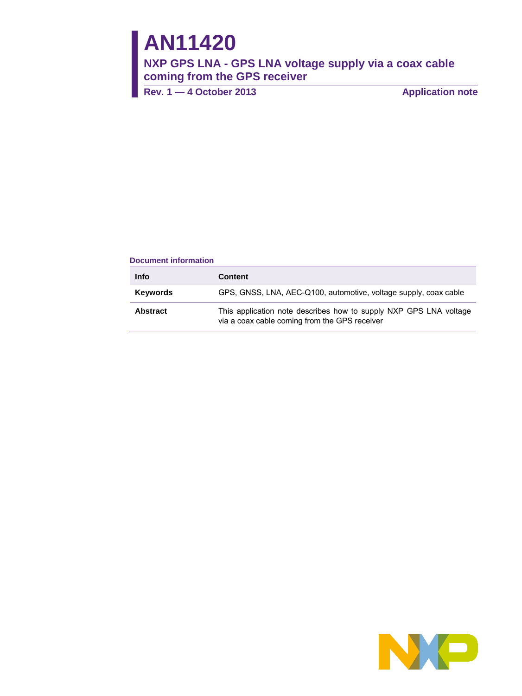# **AN11420**

**NXP GPS LNA - GPS LNA voltage supply via a coax cable coming from the GPS receiver** 

**Rev. 1 — 4 October 2013 Application note**

## **Document information**

| <b>Info</b>     | <b>Content</b>                                                                                                     |
|-----------------|--------------------------------------------------------------------------------------------------------------------|
| Keywords        | GPS, GNSS, LNA, AEC-Q100, automotive, voltage supply, coax cable                                                   |
| <b>Abstract</b> | This application note describes how to supply NXP GPS LNA voltage<br>via a coax cable coming from the GPS receiver |

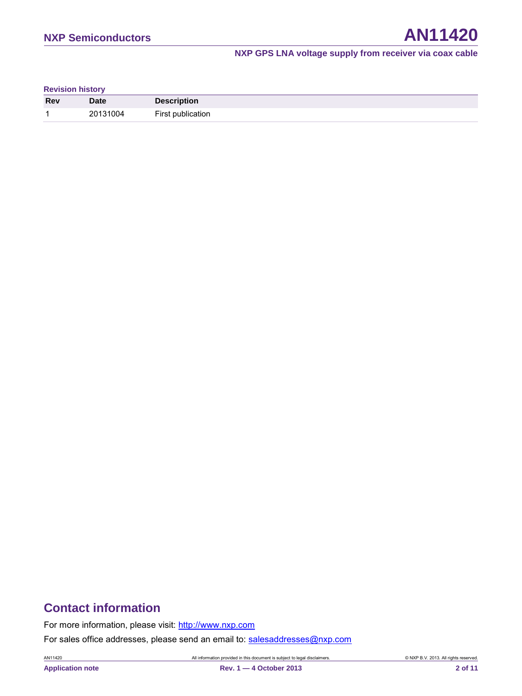**Revision history**

| <b>Rev</b>               | <b>Date</b> | <b>Description</b> |
|--------------------------|-------------|--------------------|
| $\overline{\phantom{a}}$ | 20131004    | First publication  |

## **Contact information**

For more information, please visit: [http://www.nxp.com](http://www.nxp.com/)

For sales office addresses, please send an email to: [salesaddresses@nxp.com](mailto:salesaddresses@nxp.com)

AN11420 All information provided in this document is subject to legal disclaimers. © NXP B.V. 2013. All rights reserved.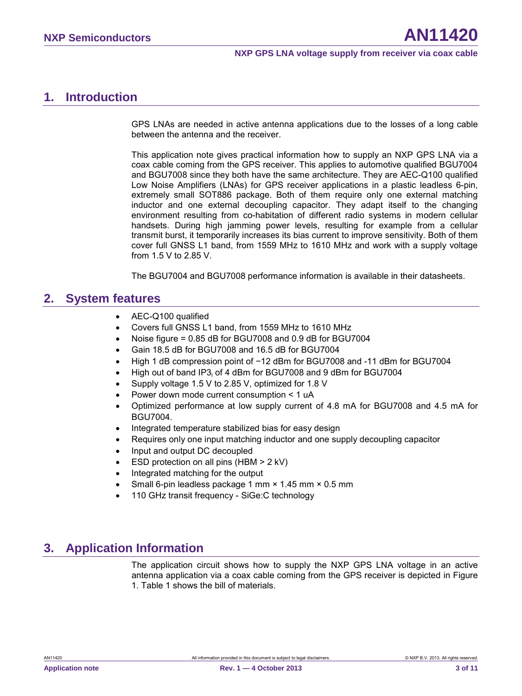## <span id="page-2-0"></span>**1. Introduction**

GPS LNAs are needed in active antenna applications due to the losses of a long cable between the antenna and the receiver.

This application note gives practical information how to supply an NXP GPS LNA via a coax cable coming from the GPS receiver. This applies to automotive qualified BGU7004 and BGU7008 since they both have the same architecture. They are AEC-Q100 qualified Low Noise Amplifiers (LNAs) for GPS receiver applications in a plastic leadless 6-pin, extremely small SOT886 package. Both of them require only one external matching inductor and one external decoupling capacitor. They adapt itself to the changing environment resulting from co-habitation of different radio systems in modern cellular handsets. During high jamming power levels, resulting for example from a cellular transmit burst, it temporarily increases its bias current to improve sensitivity. Both of them cover full GNSS L1 band, from 1559 MHz to 1610 MHz and work with a supply voltage from 1.5 V to 2.85 V.

The BGU7004 and BGU7008 performance information is available in their datasheets.

## <span id="page-2-1"></span>**2. System features**

- AEC-Q100 qualified
- Covers full GNSS L1 band, from 1559 MHz to 1610 MHz
- Noise figure = 0.85 dB for BGU7008 and 0.9 dB for BGU7004
- Gain 18.5 dB for BGU7008 and 16.5 dB for BGU7004
- High 1 dB compression point of −12 dBm for BGU7008 and -11 dBm for BGU7004
- High out of band IP3<sub>i</sub> of 4 dBm for BGU7008 and 9 dBm for BGU7004
- Supply voltage 1.5 V to 2.85 V, optimized for 1.8 V
- Power down mode current consumption < 1 uA
- Optimized performance at low supply current of 4.8 mA for BGU7008 and 4.5 mA for BGU7004.
- Integrated temperature stabilized bias for easy design
- Requires only one input matching inductor and one supply decoupling capacitor
- Input and output DC decoupled
- ESD protection on all pins (HBM > 2 kV)
- Integrated matching for the output
- Small 6-pin leadless package 1 mm × 1.45 mm × 0.5 mm
- 110 GHz transit frequency SiGe:C technology

## <span id="page-2-2"></span>**3. Application Information**

The application circuit shows how to supply the NXP GPS LNA voltage in an active antenna application via a coax cable coming from the GPS receiver is depicted in Figure 1. Table 1 shows the bill of materials.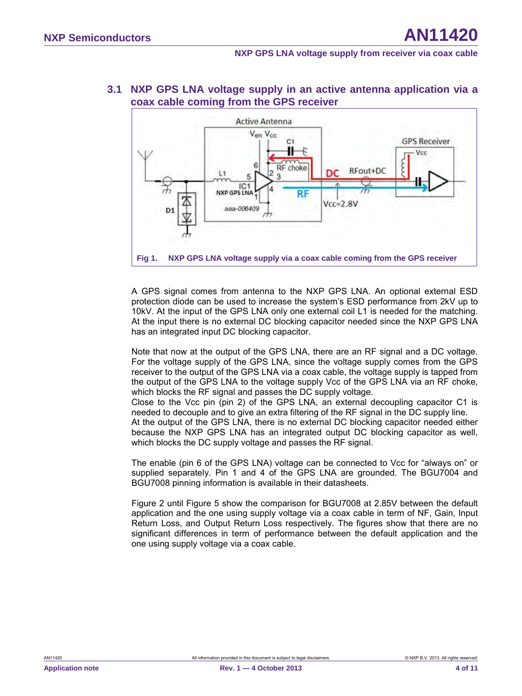

## <span id="page-3-1"></span>**3.1 NXP GPS LNA voltage supply in an active antenna application via a coax cable coming from the GPS receiver**

<span id="page-3-0"></span>A GPS signal comes from antenna to the NXP GPS LNA. An optional external ESD protection diode can be used to increase the system's ESD performance from 2kV up to 10kV. At the input of the GPS LNA only one external coil L1 is needed for the matching. At the input there is no external DC blocking capacitor needed since the NXP GPS LNA has an integrated input DC blocking capacitor.

Note that now at the output of the GPS LNA, there are an RF signal and a DC voltage. For the voltage supply of the GPS LNA, since the voltage supply comes from the GPS receiver to the output of the GPS LNA via a coax cable, the voltage supply is tapped from the output of the GPS LNA to the voltage supply Vcc of the GPS LNA via an RF choke, which blocks the RF signal and passes the DC supply voltage.

Close to the Vcc pin (pin 2) of the GPS LNA, an external decoupling capacitor C1 is needed to decouple and to give an extra filtering of the RF signal in the DC supply line. At the output of the GPS LNA, there is no external DC blocking capacitor needed either because the NXP GPS LNA has an integrated output DC blocking capacitor as well, which blocks the DC supply voltage and passes the RF signal.

The enable (pin 6 of the GPS LNA) voltage can be connected to Vcc for "always on" or supplied separately. Pin 1 and 4 of the GPS LNA are grounded. The BGU7004 and BGU7008 pinning information is available in their datasheets.

Figure 2 until Figure 5 show the comparison for BGU7008 at 2.85V between the default application and the one using supply voltage via a coax cable in term of NF, Gain, Input Return Loss, and Output Return Loss respectively. The figures show that there are no significant differences in term of performance between the default application and the one using supply voltage via a coax cable.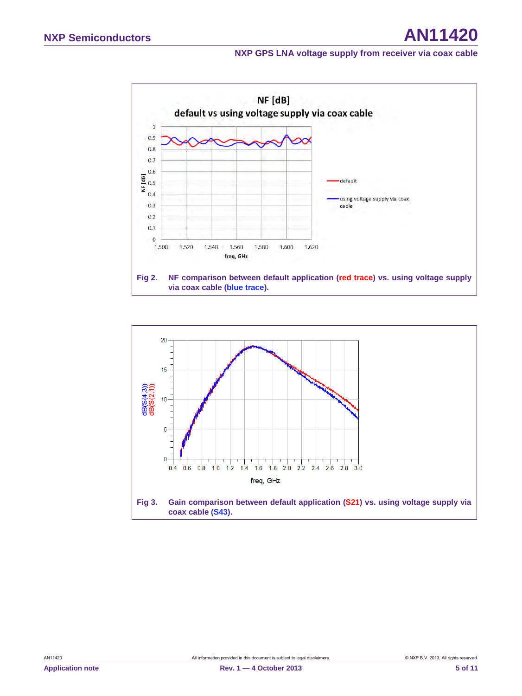

<span id="page-4-1"></span><span id="page-4-0"></span>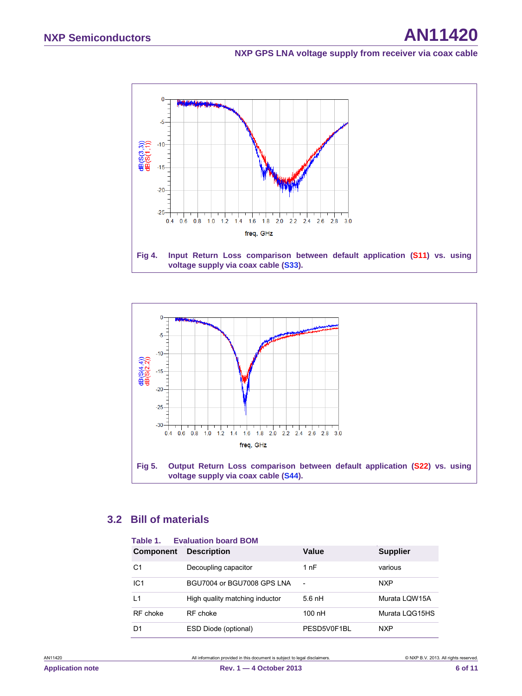

<span id="page-5-0"></span>

## <span id="page-5-3"></span><span id="page-5-1"></span>**3.2 Bill of materials**

<span id="page-5-2"></span>

| Table 1.<br><b>Evaluation board BOM</b> |                                |                          |                 |
|-----------------------------------------|--------------------------------|--------------------------|-----------------|
| <b>Component</b>                        | <b>Description</b>             | Value                    | <b>Supplier</b> |
| C1                                      | Decoupling capacitor           | 1 nF                     | various         |
| IC <sub>1</sub>                         | BGU7004 or BGU7008 GPS LNA     | $\overline{\phantom{a}}$ | <b>NXP</b>      |
| L1                                      | High quality matching inductor | $5.6$ nH                 | Murata LOW15A   |
| RF choke                                | RF choke                       | $100$ nH                 | Murata LQG15HS  |
| D1                                      | ESD Diode (optional)           | PESD5V0F1BL              | <b>NXP</b>      |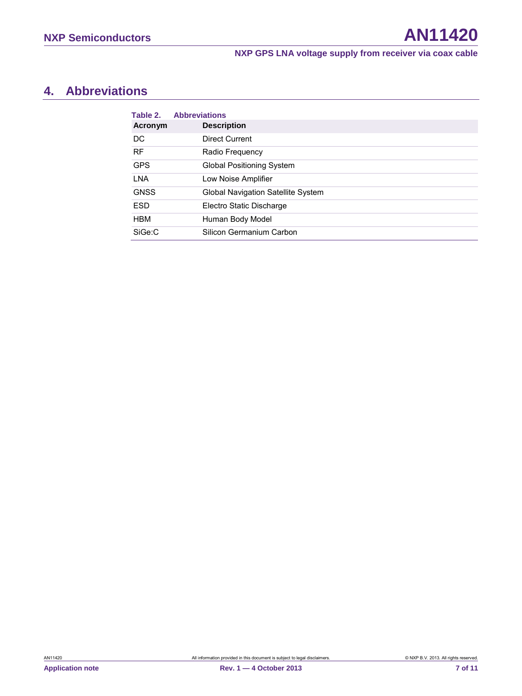## <span id="page-6-1"></span>**4. Abbreviations**

<span id="page-6-0"></span>

| Table 2.    | <b>Abbreviations</b>               |
|-------------|------------------------------------|
| Acronym     | <b>Description</b>                 |
| DC          | Direct Current                     |
| <b>RF</b>   | Radio Frequency                    |
| <b>GPS</b>  | <b>Global Positioning System</b>   |
| LNA         | Low Noise Amplifier                |
| <b>GNSS</b> | Global Navigation Satellite System |
| <b>ESD</b>  | Electro Static Discharge           |
| <b>HBM</b>  | Human Body Model                   |
| SiGe:C      | Silicon Germanium Carbon           |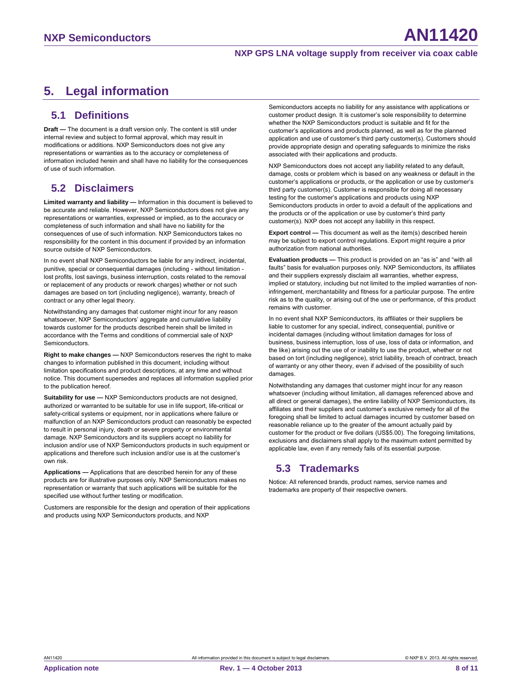## <span id="page-7-0"></span>**5. Legal information**

## <span id="page-7-1"></span>**5.1 Definitions**

**Draft —** The document is a draft version only. The content is still under internal review and subject to formal approval, which may result in modifications or additions. NXP Semiconductors does not give any representations or warranties as to the accuracy or completeness of information included herein and shall have no liability for the consequences of use of such information.

## <span id="page-7-2"></span>**5.2 Disclaimers**

**Limited warranty and liability —** Information in this document is believed to be accurate and reliable. However, NXP Semiconductors does not give any representations or warranties, expressed or implied, as to the accuracy or completeness of such information and shall have no liability for the consequences of use of such information. NXP Semiconductors takes no responsibility for the content in this document if provided by an information source outside of NXP Semiconductors.

In no event shall NXP Semiconductors be liable for any indirect, incidental, punitive, special or consequential damages (including - without limitation lost profits, lost savings, business interruption, costs related to the removal or replacement of any products or rework charges) whether or not such damages are based on tort (including negligence), warranty, breach of contract or any other legal theory.

Notwithstanding any damages that customer might incur for any reason whatsoever, NXP Semiconductors' aggregate and cumulative liability towards customer for the products described herein shall be limited in accordance with the Terms and conditions of commercial sale of NXP Semiconductors.

**Right to make changes —** NXP Semiconductors reserves the right to make changes to information published in this document, including without limitation specifications and product descriptions, at any time and without notice. This document supersedes and replaces all information supplied prior to the publication hereof.

**Suitability for use —** NXP Semiconductors products are not designed, authorized or warranted to be suitable for use in life support, life-critical or safety-critical systems or equipment, nor in applications where failure or malfunction of an NXP Semiconductors product can reasonably be expected to result in personal injury, death or severe property or environmental damage. NXP Semiconductors and its suppliers accept no liability for inclusion and/or use of NXP Semiconductors products in such equipment or applications and therefore such inclusion and/or use is at the customer's own risk.

**Applications —** Applications that are described herein for any of these products are for illustrative purposes only. NXP Semiconductors makes no representation or warranty that such applications will be suitable for the specified use without further testing or modification.

Customers are responsible for the design and operation of their applications and products using NXP Semiconductors products, and NXP

Semiconductors accepts no liability for any assistance with applications or customer product design. It is customer's sole responsibility to determine whether the NXP Semiconductors product is suitable and fit for the customer's applications and products planned, as well as for the planned application and use of customer's third party customer(s). Customers should provide appropriate design and operating safeguards to minimize the risks associated with their applications and products.

NXP Semiconductors does not accept any liability related to any default, damage, costs or problem which is based on any weakness or default in the customer's applications or products, or the application or use by customer's third party customer(s). Customer is responsible for doing all necessary testing for the customer's applications and products using NXP Semiconductors products in order to avoid a default of the applications and the products or of the application or use by customer's third party customer(s). NXP does not accept any liability in this respect.

**Export control —** This document as well as the item(s) described herein may be subject to export control regulations. Export might require a prior authorization from national authorities.

**Evaluation products —** This product is provided on an "as is" and "with all faults" basis for evaluation purposes only. NXP Semiconductors, its affiliates and their suppliers expressly disclaim all warranties, whether express, implied or statutory, including but not limited to the implied warranties of noninfringement, merchantability and fitness for a particular purpose. The entire risk as to the quality, or arising out of the use or performance, of this product remains with customer.

In no event shall NXP Semiconductors, its affiliates or their suppliers be liable to customer for any special, indirect, consequential, punitive or incidental damages (including without limitation damages for loss of business, business interruption, loss of use, loss of data or information, and the like) arising out the use of or inability to use the product, whether or not based on tort (including negligence), strict liability, breach of contract, breach of warranty or any other theory, even if advised of the possibility of such damages.

Notwithstanding any damages that customer might incur for any reason whatsoever (including without limitation, all damages referenced above and all direct or general damages), the entire liability of NXP Semiconductors, its affiliates and their suppliers and customer's exclusive remedy for all of the foregoing shall be limited to actual damages incurred by customer based on reasonable reliance up to the greater of the amount actually paid by customer for the product or five dollars (US\$5.00). The foregoing limitations, exclusions and disclaimers shall apply to the maximum extent permitted by applicable law, even if any remedy fails of its essential purpose.

## <span id="page-7-3"></span>**5.3 Trademarks**

Notice: All referenced brands, product names, service names and trademarks are property of their respective owners.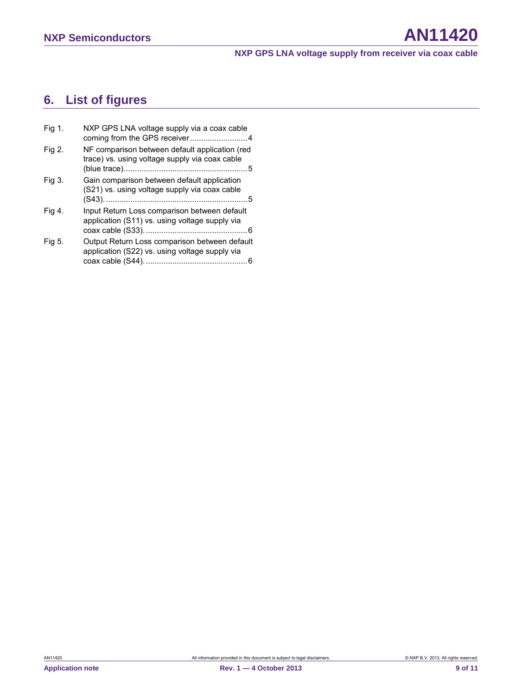## <span id="page-8-0"></span>**6. List of figures**

| Fig 1. | NXP GPS LNA voltage supply via a coax cable<br>coming from the GPS receiver4                     |
|--------|--------------------------------------------------------------------------------------------------|
| Fig 2. | NF comparison between default application (red<br>trace) vs. using voltage supply via coax cable |
| Fig 3. | Gain comparison between default application<br>(S21) vs. using voltage supply via coax cable     |
| Fig 4. | Input Return Loss comparison between default<br>application (S11) vs. using voltage supply via   |
| Fig 5. | Output Return Loss comparison between default<br>application (S22) vs. using voltage supply via  |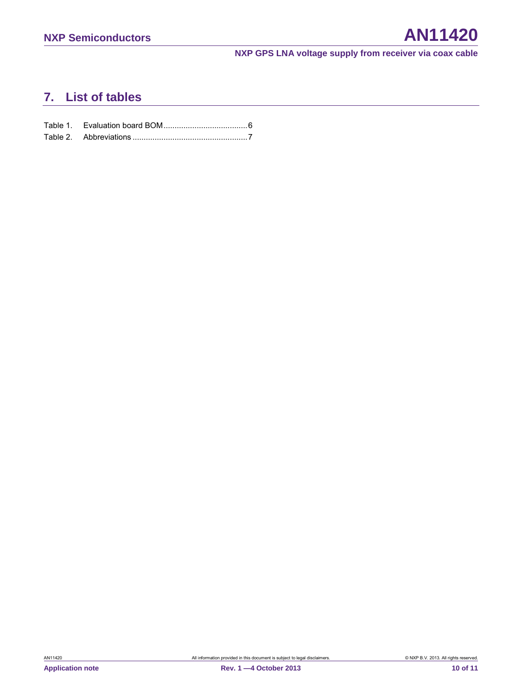## <span id="page-9-0"></span>**7. List of tables**